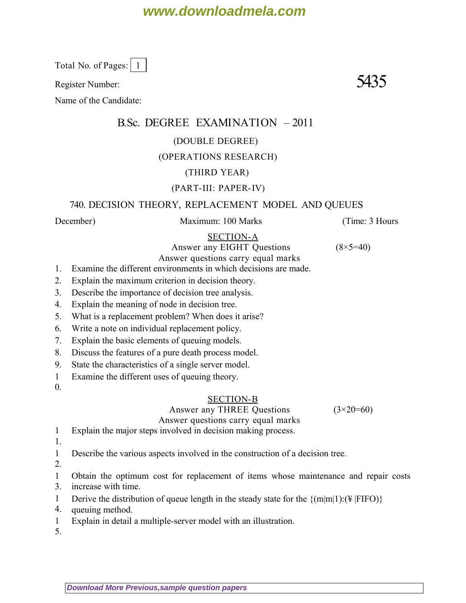# **www.downloadmela.com**

Total No. of Pages: | 1

Register Number:  $5435$ 

Name of the Candidate:

# B.Sc. DEGREE EXAMINATION – 2011

#### (DOUBLE DEGREE)

### (OPERATIONS RESEARCH)

### (THIRD YEAR)

## (PART-III: PAPER-IV)

### 740. DECISION THEORY, REPLACEMENT MODEL AND QUEUES

*December*) Maximum: 100 Marks (*Time: 3 Hours*

#### SECTION-A

Answer any EIGHT Questions  $(8 \times 5=40)$ 

Answer questions carry equal marks 1. Examine the different environments in which decisions are made.

- 2. Explain the maximum criterion in decision theory.
- 3. Describe the importance of decision tree analysis.
- 4. Explain the meaning of node in decision tree.
- 5. What is a replacement problem? When does it arise?
- 6. Write a note on individual replacement policy.
- 7. Explain the basic elements of queuing models.
- 8. Discuss the features of a pure death process model.
- 9. State the characteristics of a single server model.
- 1 Examine the different uses of queuing theory.
- $\overline{0}$ .

#### SECTION-B

Answer any THREE Questions  $(3\times20=60)$ Answer questions carry equal marks

1 Explain the major steps involved in decision making process.

1.

1 Describe the various aspects involved in the construction of a decision tree.

- 2.
- 1 Obtain the optimum cost for replacement of items whose maintenance and repair costs
- 3. increase with time.
- 1 Derive the distribution of queue length in the steady state for the  $\{(\text{m}|m|1) : (\frac{1}{2} |FIFO)\}$
- 4. queuing method.
- 1 Explain in detail a multiple-server model with an illustration.

5.